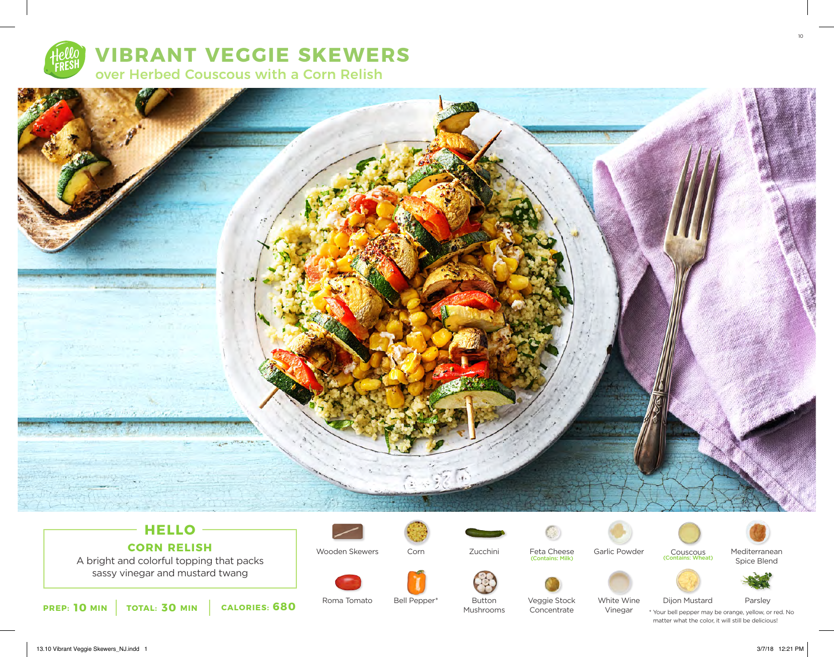

# **VIBRANT VEGGIE SKEWERS**

over Herbed Couscous with a Corn Relish



### **HELLO CORN RELISH**

A bright and colorful topping that packs sassy vinegar and mustard twang







Feta Cheese (Contains: Milk)





Couscous Mediterranean<br>
Contains: Wheat Spice Blend



**10 30 680 PREP: MIN TOTAL: MIN CALORIES:**

Roma Tomato Bell Pepper\* Button Veggie Stock White Wine Dijon Mustard Parsley Bell Pepper\* Button Mushrooms

Concentrate

White Wine Vinegar

Dijon Mustard

\* Your bell pepper may be orange, yellow, or red. No matter what the color, it will still be delicious!

13.10 Vibrant Veggie Skewers\_NJ.indd 1 3/7/18 12:21 PM

10